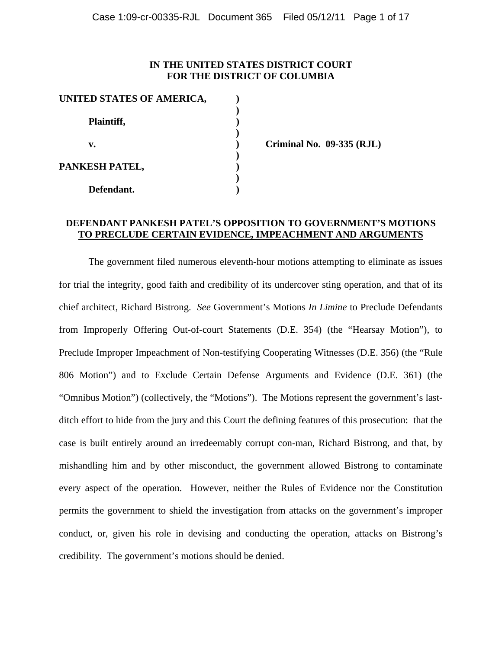## **IN THE UNITED STATES DISTRICT COURT FOR THE DISTRICT OF COLUMBIA**

| UNITED STATES OF AMERICA, |  |
|---------------------------|--|
|                           |  |
| Plaintiff,                |  |
|                           |  |
| v.                        |  |
| PANKESH PATEL,            |  |
|                           |  |
|                           |  |
| Defendant.                |  |

**v. ) Criminal No. 09-335 (RJL)** 

# **DEFENDANT PANKESH PATEL'S OPPOSITION TO GOVERNMENT'S MOTIONS TO PRECLUDE CERTAIN EVIDENCE, IMPEACHMENT AND ARGUMENTS**

The government filed numerous eleventh-hour motions attempting to eliminate as issues for trial the integrity, good faith and credibility of its undercover sting operation, and that of its chief architect, Richard Bistrong. *See* Government's Motions *In Limine* to Preclude Defendants from Improperly Offering Out-of-court Statements (D.E. 354) (the "Hearsay Motion"), to Preclude Improper Impeachment of Non-testifying Cooperating Witnesses (D.E. 356) (the "Rule 806 Motion") and to Exclude Certain Defense Arguments and Evidence (D.E. 361) (the "Omnibus Motion") (collectively, the "Motions"). The Motions represent the government's lastditch effort to hide from the jury and this Court the defining features of this prosecution: that the case is built entirely around an irredeemably corrupt con-man, Richard Bistrong, and that, by mishandling him and by other misconduct, the government allowed Bistrong to contaminate every aspect of the operation. However, neither the Rules of Evidence nor the Constitution permits the government to shield the investigation from attacks on the government's improper conduct, or, given his role in devising and conducting the operation, attacks on Bistrong's credibility. The government's motions should be denied.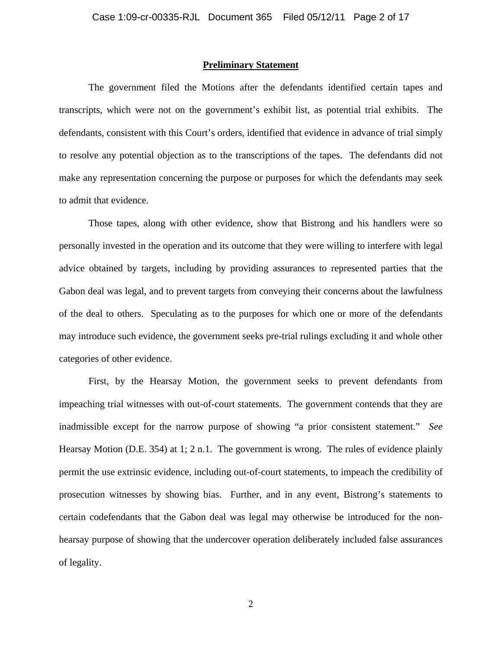### **Preliminary Statement**

 The government filed the Motions after the defendants identified certain tapes and transcripts, which were not on the government's exhibit list, as potential trial exhibits. The defendants, consistent with this Court's orders, identified that evidence in advance of trial simply to resolve any potential objection as to the transcriptions of the tapes. The defendants did not make any representation concerning the purpose or purposes for which the defendants may seek to admit that evidence.

Those tapes, along with other evidence, show that Bistrong and his handlers were so personally invested in the operation and its outcome that they were willing to interfere with legal advice obtained by targets, including by providing assurances to represented parties that the Gabon deal was legal, and to prevent targets from conveying their concerns about the lawfulness of the deal to others. Speculating as to the purposes for which one or more of the defendants may introduce such evidence, the government seeks pre-trial rulings excluding it and whole other categories of other evidence.

 First, by the Hearsay Motion, the government seeks to prevent defendants from impeaching trial witnesses with out-of-court statements. The government contends that they are inadmissible except for the narrow purpose of showing "a prior consistent statement." *See* Hearsay Motion (D.E. 354) at 1; 2 n.1. The government is wrong. The rules of evidence plainly permit the use extrinsic evidence, including out-of-court statements, to impeach the credibility of prosecution witnesses by showing bias. Further, and in any event, Bistrong's statements to certain codefendants that the Gabon deal was legal may otherwise be introduced for the nonhearsay purpose of showing that the undercover operation deliberately included false assurances of legality.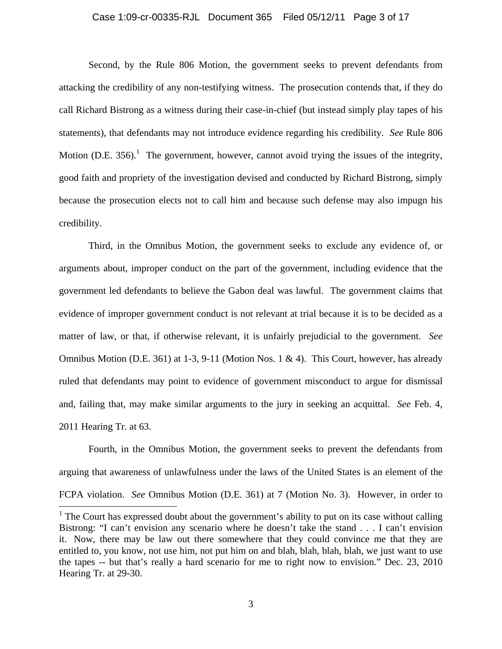### Case 1:09-cr-00335-RJL Document 365 Filed 05/12/11 Page 3 of 17

 Second, by the Rule 806 Motion, the government seeks to prevent defendants from attacking the credibility of any non-testifying witness. The prosecution contends that, if they do call Richard Bistrong as a witness during their case-in-chief (but instead simply play tapes of his statements), that defendants may not introduce evidence regarding his credibility. *See* Rule 806 Motion (D.E. 356).<sup>1</sup> The government, however, cannot avoid trying the issues of the integrity, good faith and propriety of the investigation devised and conducted by Richard Bistrong, simply because the prosecution elects not to call him and because such defense may also impugn his credibility.

 Third, in the Omnibus Motion, the government seeks to exclude any evidence of, or arguments about, improper conduct on the part of the government, including evidence that the government led defendants to believe the Gabon deal was lawful. The government claims that evidence of improper government conduct is not relevant at trial because it is to be decided as a matter of law, or that, if otherwise relevant, it is unfairly prejudicial to the government. *See* Omnibus Motion (D.E. 361) at 1-3, 9-11 (Motion Nos. 1 & 4). This Court, however, has already ruled that defendants may point to evidence of government misconduct to argue for dismissal and, failing that, may make similar arguments to the jury in seeking an acquittal. *See* Feb. 4, 2011 Hearing Tr. at 63.

 Fourth, in the Omnibus Motion, the government seeks to prevent the defendants from arguing that awareness of unlawfulness under the laws of the United States is an element of the FCPA violation. *See* Omnibus Motion (D.E. 361) at 7 (Motion No. 3). However, in order to

 $\overline{a}$ 

 $<sup>1</sup>$  The Court has expressed doubt about the government's ability to put on its case without calling</sup> Bistrong: "I can't envision any scenario where he doesn't take the stand . . . I can't envision it. Now, there may be law out there somewhere that they could convince me that they are entitled to, you know, not use him, not put him on and blah, blah, blah, blah, we just want to use the tapes -- but that's really a hard scenario for me to right now to envision." Dec. 23, 2010 Hearing Tr. at 29-30.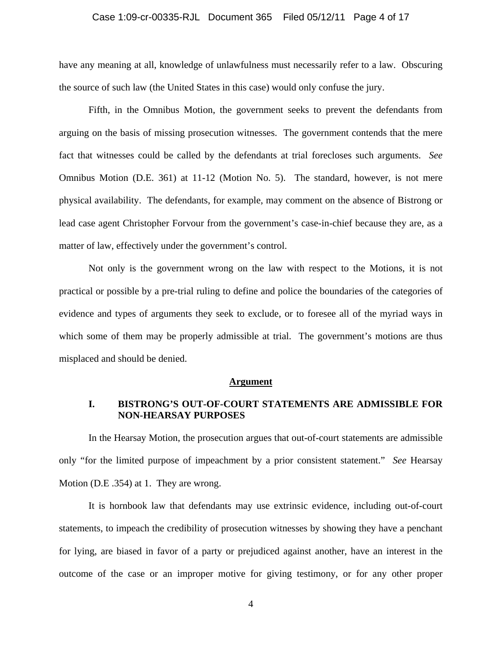### Case 1:09-cr-00335-RJL Document 365 Filed 05/12/11 Page 4 of 17

have any meaning at all, knowledge of unlawfulness must necessarily refer to a law. Obscuring the source of such law (the United States in this case) would only confuse the jury.

 Fifth, in the Omnibus Motion, the government seeks to prevent the defendants from arguing on the basis of missing prosecution witnesses. The government contends that the mere fact that witnesses could be called by the defendants at trial forecloses such arguments. *See* Omnibus Motion (D.E. 361) at 11-12 (Motion No. 5). The standard, however, is not mere physical availability. The defendants, for example, may comment on the absence of Bistrong or lead case agent Christopher Forvour from the government's case-in-chief because they are, as a matter of law, effectively under the government's control.

 Not only is the government wrong on the law with respect to the Motions, it is not practical or possible by a pre-trial ruling to define and police the boundaries of the categories of evidence and types of arguments they seek to exclude, or to foresee all of the myriad ways in which some of them may be properly admissible at trial. The government's motions are thus misplaced and should be denied.

#### **Argument**

## **I. BISTRONG'S OUT-OF-COURT STATEMENTS ARE ADMISSIBLE FOR NON-HEARSAY PURPOSES**

In the Hearsay Motion, the prosecution argues that out-of-court statements are admissible only "for the limited purpose of impeachment by a prior consistent statement." *See* Hearsay Motion (D.E .354) at 1. They are wrong.

It is hornbook law that defendants may use extrinsic evidence, including out-of-court statements, to impeach the credibility of prosecution witnesses by showing they have a penchant for lying, are biased in favor of a party or prejudiced against another, have an interest in the outcome of the case or an improper motive for giving testimony, or for any other proper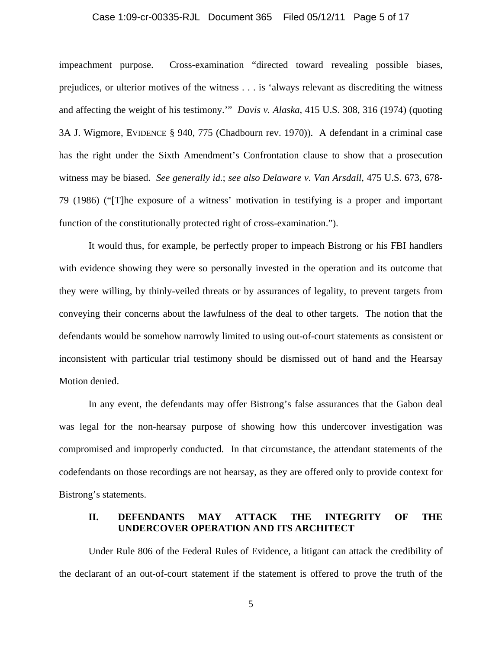### Case 1:09-cr-00335-RJL Document 365 Filed 05/12/11 Page 5 of 17

impeachment purpose. Cross-examination "directed toward revealing possible biases, prejudices, or ulterior motives of the witness . . . is 'always relevant as discrediting the witness and affecting the weight of his testimony.'" *Davis v. Alaska*, 415 U.S. 308, 316 (1974) (quoting 3A J. Wigmore, EVIDENCE § 940, 775 (Chadbourn rev. 1970)). A defendant in a criminal case has the right under the Sixth Amendment's Confrontation clause to show that a prosecution witness may be biased. *See generally id.*; *see also Delaware v. Van Arsdall*, 475 U.S. 673, 678- 79 (1986) ("[T]he exposure of a witness' motivation in testifying is a proper and important function of the constitutionally protected right of cross-examination.").

It would thus, for example, be perfectly proper to impeach Bistrong or his FBI handlers with evidence showing they were so personally invested in the operation and its outcome that they were willing, by thinly-veiled threats or by assurances of legality, to prevent targets from conveying their concerns about the lawfulness of the deal to other targets. The notion that the defendants would be somehow narrowly limited to using out-of-court statements as consistent or inconsistent with particular trial testimony should be dismissed out of hand and the Hearsay Motion denied.

In any event, the defendants may offer Bistrong's false assurances that the Gabon deal was legal for the non-hearsay purpose of showing how this undercover investigation was compromised and improperly conducted. In that circumstance, the attendant statements of the codefendants on those recordings are not hearsay, as they are offered only to provide context for Bistrong's statements.

### **II. DEFENDANTS MAY ATTACK THE INTEGRITY OF THE UNDERCOVER OPERATION AND ITS ARCHITECT**

Under Rule 806 of the Federal Rules of Evidence, a litigant can attack the credibility of the declarant of an out-of-court statement if the statement is offered to prove the truth of the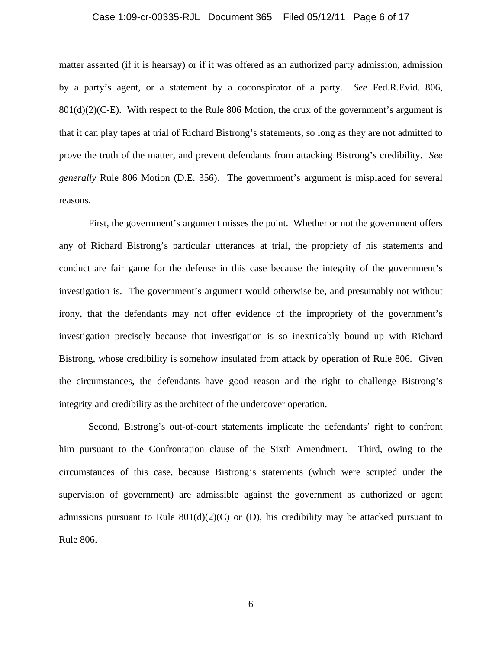### Case 1:09-cr-00335-RJL Document 365 Filed 05/12/11 Page 6 of 17

matter asserted (if it is hearsay) or if it was offered as an authorized party admission, admission by a party's agent, or a statement by a coconspirator of a party. *See* Fed.R.Evid. 806,  $801(d)(2)(C-E)$ . With respect to the Rule 806 Motion, the crux of the government's argument is that it can play tapes at trial of Richard Bistrong's statements, so long as they are not admitted to prove the truth of the matter, and prevent defendants from attacking Bistrong's credibility. *See generally* Rule 806 Motion (D.E. 356). The government's argument is misplaced for several reasons.

First, the government's argument misses the point. Whether or not the government offers any of Richard Bistrong's particular utterances at trial, the propriety of his statements and conduct are fair game for the defense in this case because the integrity of the government's investigation is. The government's argument would otherwise be, and presumably not without irony, that the defendants may not offer evidence of the impropriety of the government's investigation precisely because that investigation is so inextricably bound up with Richard Bistrong, whose credibility is somehow insulated from attack by operation of Rule 806. Given the circumstances, the defendants have good reason and the right to challenge Bistrong's integrity and credibility as the architect of the undercover operation.

Second, Bistrong's out-of-court statements implicate the defendants' right to confront him pursuant to the Confrontation clause of the Sixth Amendment. Third, owing to the circumstances of this case, because Bistrong's statements (which were scripted under the supervision of government) are admissible against the government as authorized or agent admissions pursuant to Rule  $801(d)(2)(C)$  or (D), his credibility may be attacked pursuant to Rule 806.

6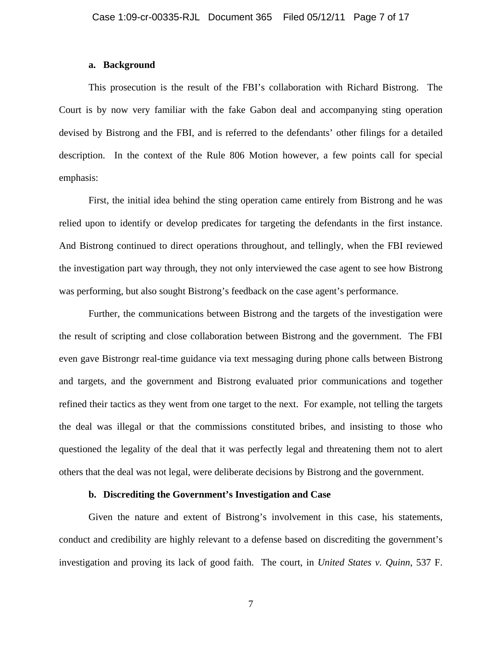### **a. Background**

This prosecution is the result of the FBI's collaboration with Richard Bistrong. The Court is by now very familiar with the fake Gabon deal and accompanying sting operation devised by Bistrong and the FBI, and is referred to the defendants' other filings for a detailed description. In the context of the Rule 806 Motion however, a few points call for special emphasis:

First, the initial idea behind the sting operation came entirely from Bistrong and he was relied upon to identify or develop predicates for targeting the defendants in the first instance. And Bistrong continued to direct operations throughout, and tellingly, when the FBI reviewed the investigation part way through, they not only interviewed the case agent to see how Bistrong was performing, but also sought Bistrong's feedback on the case agent's performance.

Further, the communications between Bistrong and the targets of the investigation were the result of scripting and close collaboration between Bistrong and the government. The FBI even gave Bistrongr real-time guidance via text messaging during phone calls between Bistrong and targets, and the government and Bistrong evaluated prior communications and together refined their tactics as they went from one target to the next. For example, not telling the targets the deal was illegal or that the commissions constituted bribes, and insisting to those who questioned the legality of the deal that it was perfectly legal and threatening them not to alert others that the deal was not legal, were deliberate decisions by Bistrong and the government.

## **b. Discrediting the Government's Investigation and Case**

Given the nature and extent of Bistrong's involvement in this case, his statements, conduct and credibility are highly relevant to a defense based on discrediting the government's investigation and proving its lack of good faith. The court, in *United States v. Quinn*, 537 F.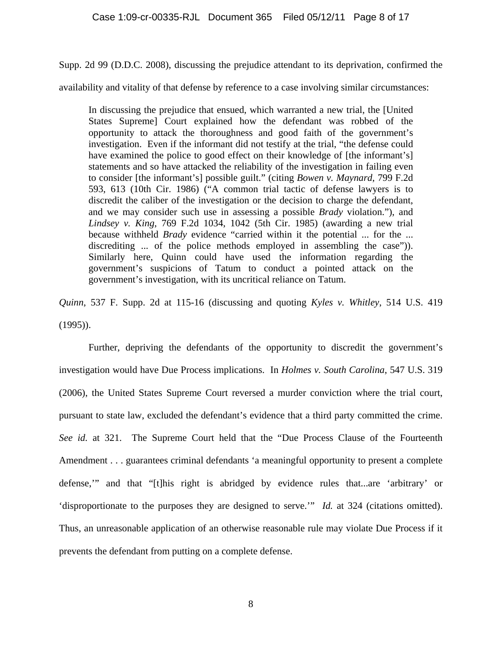Supp. 2d 99 (D.D.C. 2008), discussing the prejudice attendant to its deprivation, confirmed the

availability and vitality of that defense by reference to a case involving similar circumstances:

In discussing the prejudice that ensued, which warranted a new trial, the [United States Supreme] Court explained how the defendant was robbed of the opportunity to attack the thoroughness and good faith of the government's investigation. Even if the informant did not testify at the trial, "the defense could have examined the police to good effect on their knowledge of [the informant's] statements and so have attacked the reliability of the investigation in failing even to consider [the informant's] possible guilt." (citing *Bowen v. Maynard*, 799 F.2d 593, 613 (10th Cir. 1986) ("A common trial tactic of defense lawyers is to discredit the caliber of the investigation or the decision to charge the defendant, and we may consider such use in assessing a possible *Brady* violation."), and *Lindsey v. King*, 769 F.2d 1034, 1042 (5th Cir. 1985) (awarding a new trial because withheld *Brady* evidence "carried within it the potential ... for the ... discrediting ... of the police methods employed in assembling the case"). Similarly here, Quinn could have used the information regarding the government's suspicions of Tatum to conduct a pointed attack on the government's investigation, with its uncritical reliance on Tatum.

*Quinn*, 537 F. Supp. 2d at 115-16 (discussing and quoting *Kyles v. Whitley*, 514 U.S. 419 (1995)).

Further, depriving the defendants of the opportunity to discredit the government's investigation would have Due Process implications. In *Holmes v. South Carolina*, 547 U.S. 319 (2006), the United States Supreme Court reversed a murder conviction where the trial court, pursuant to state law, excluded the defendant's evidence that a third party committed the crime. *See id.* at 321. The Supreme Court held that the "Due Process Clause of the Fourteenth Amendment . . . guarantees criminal defendants 'a meaningful opportunity to present a complete defense,'" and that "[t]his right is abridged by evidence rules that...are 'arbitrary' or 'disproportionate to the purposes they are designed to serve.'" *Id.* at 324 (citations omitted). Thus, an unreasonable application of an otherwise reasonable rule may violate Due Process if it prevents the defendant from putting on a complete defense.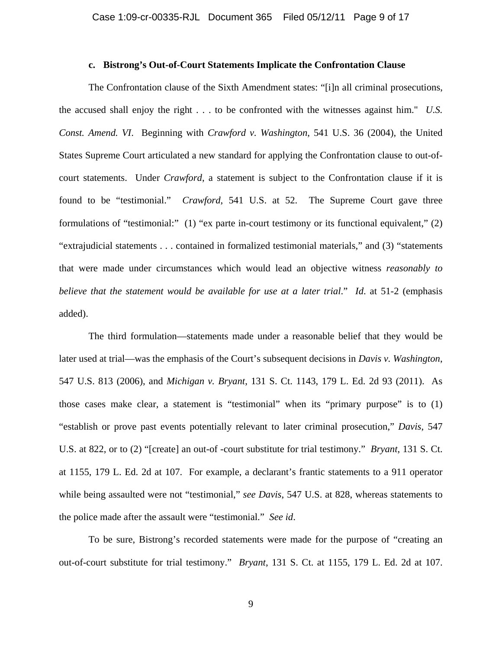### **c. Bistrong's Out-of-Court Statements Implicate the Confrontation Clause**

The Confrontation clause of the Sixth Amendment states: "[i]n all criminal prosecutions, the accused shall enjoy the right . . . to be confronted with the witnesses against him." *U.S. Const. Amend. VI*. Beginning with *Crawford v. Washington*, 541 U.S. 36 (2004), the United States Supreme Court articulated a new standard for applying the Confrontation clause to out-ofcourt statements. Under *Crawford*, a statement is subject to the Confrontation clause if it is found to be "testimonial." *Crawford*, 541 U.S. at 52. The Supreme Court gave three formulations of "testimonial:" (1) "ex parte in-court testimony or its functional equivalent," (2) "extrajudicial statements . . . contained in formalized testimonial materials," and (3) "statements that were made under circumstances which would lead an objective witness *reasonably to believe that the statement would be available for use at a later trial*." *Id*. at 51-2 (emphasis added).

The third formulation—statements made under a reasonable belief that they would be later used at trial—was the emphasis of the Court's subsequent decisions in *Davis v. Washington*, 547 U.S. 813 (2006), and *Michigan v. Bryant*, 131 S. Ct. 1143, 179 L. Ed. 2d 93 (2011). As those cases make clear, a statement is "testimonial" when its "primary purpose" is to (1) "establish or prove past events potentially relevant to later criminal prosecution," *Davis*, 547 U.S. at 822, or to (2) "[create] an out-of -court substitute for trial testimony." *Bryant*, 131 S. Ct. at 1155, 179 L. Ed. 2d at 107. For example, a declarant's frantic statements to a 911 operator while being assaulted were not "testimonial," *see Davis*, 547 U.S. at 828, whereas statements to the police made after the assault were "testimonial." *See id*.

To be sure, Bistrong's recorded statements were made for the purpose of "creating an out-of-court substitute for trial testimony." *Bryant*, 131 S. Ct. at 1155, 179 L. Ed. 2d at 107.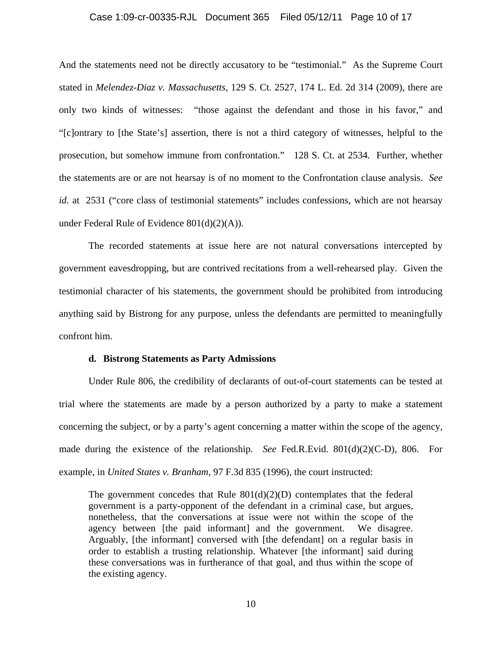### Case 1:09-cr-00335-RJL Document 365 Filed 05/12/11 Page 10 of 17

And the statements need not be directly accusatory to be "testimonial." As the Supreme Court stated in *Melendez-Diaz v. Massachusetts*, 129 S. Ct. 2527, 174 L. Ed. 2d 314 (2009), there are only two kinds of witnesses: "those against the defendant and those in his favor," and "[c]ontrary to [the State's] assertion, there is not a third category of witnesses, helpful to the prosecution, but somehow immune from confrontation." 128 S. Ct. at 2534*.* Further, whether the statements are or are not hearsay is of no moment to the Confrontation clause analysis. *See id.* at 2531 ("core class of testimonial statements" includes confessions, which are not hearsay under Federal Rule of Evidence 801(d)(2)(A)).

The recorded statements at issue here are not natural conversations intercepted by government eavesdropping, but are contrived recitations from a well-rehearsed play. Given the testimonial character of his statements, the government should be prohibited from introducing anything said by Bistrong for any purpose, unless the defendants are permitted to meaningfully confront him.

#### **d. Bistrong Statements as Party Admissions**

Under Rule 806, the credibility of declarants of out-of-court statements can be tested at trial where the statements are made by a person authorized by a party to make a statement concerning the subject, or by a party's agent concerning a matter within the scope of the agency, made during the existence of the relationship. *See* Fed.R.Evid. 801(d)(2)(C-D), 806. For example, in *United States v. Branham*, 97 F.3d 835 (1996), the court instructed:

The government concedes that Rule  $801(d)(2)(D)$  contemplates that the federal government is a party-opponent of the defendant in a criminal case, but argues, nonetheless, that the conversations at issue were not within the scope of the agency between [the paid informant] and the government. We disagree. Arguably, [the informant] conversed with [the defendant] on a regular basis in order to establish a trusting relationship. Whatever [the informant] said during these conversations was in furtherance of that goal, and thus within the scope of the existing agency.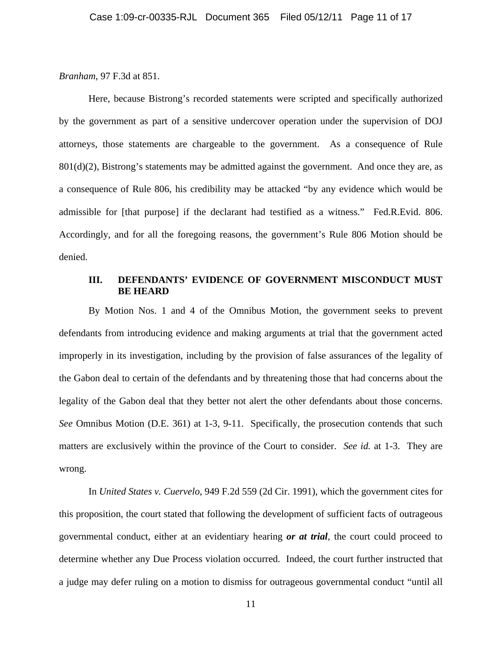### *Branham*, 97 F.3d at 851.

 Here, because Bistrong's recorded statements were scripted and specifically authorized by the government as part of a sensitive undercover operation under the supervision of DOJ attorneys, those statements are chargeable to the government. As a consequence of Rule  $801(d)(2)$ , Bistrong's statements may be admitted against the government. And once they are, as a consequence of Rule 806, his credibility may be attacked "by any evidence which would be admissible for [that purpose] if the declarant had testified as a witness." Fed.R.Evid. 806. Accordingly, and for all the foregoing reasons, the government's Rule 806 Motion should be denied.

# **III. DEFENDANTS' EVIDENCE OF GOVERNMENT MISCONDUCT MUST BE HEARD**

By Motion Nos. 1 and 4 of the Omnibus Motion, the government seeks to prevent defendants from introducing evidence and making arguments at trial that the government acted improperly in its investigation, including by the provision of false assurances of the legality of the Gabon deal to certain of the defendants and by threatening those that had concerns about the legality of the Gabon deal that they better not alert the other defendants about those concerns. *See* Omnibus Motion (D.E. 361) at 1-3, 9-11. Specifically, the prosecution contends that such matters are exclusively within the province of the Court to consider. *See id.* at 1-3. They are wrong.

In *United States v. Cuervelo*, 949 F.2d 559 (2d Cir. 1991), which the government cites for this proposition, the court stated that following the development of sufficient facts of outrageous governmental conduct, either at an evidentiary hearing *or at trial*, the court could proceed to determine whether any Due Process violation occurred. Indeed, the court further instructed that a judge may defer ruling on a motion to dismiss for outrageous governmental conduct "until all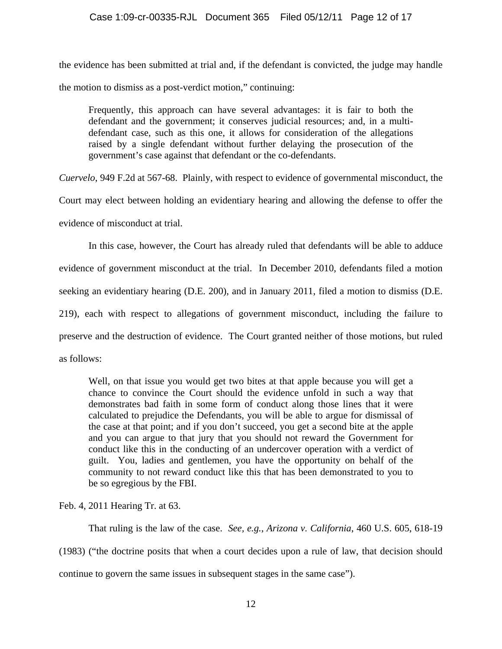the evidence has been submitted at trial and, if the defendant is convicted, the judge may handle the motion to dismiss as a post-verdict motion," continuing:

Frequently, this approach can have several advantages: it is fair to both the defendant and the government; it conserves judicial resources; and, in a multidefendant case, such as this one, it allows for consideration of the allegations raised by a single defendant without further delaying the prosecution of the government's case against that defendant or the co-defendants.

*Cuervelo*, 949 F.2d at 567-68. Plainly, with respect to evidence of governmental misconduct, the

Court may elect between holding an evidentiary hearing and allowing the defense to offer the evidence of misconduct at trial.

In this case, however, the Court has already ruled that defendants will be able to adduce evidence of government misconduct at the trial. In December 2010, defendants filed a motion seeking an evidentiary hearing (D.E. 200), and in January 2011, filed a motion to dismiss (D.E. 219), each with respect to allegations of government misconduct, including the failure to preserve and the destruction of evidence. The Court granted neither of those motions, but ruled as follows:

Well, on that issue you would get two bites at that apple because you will get a chance to convince the Court should the evidence unfold in such a way that demonstrates bad faith in some form of conduct along those lines that it were calculated to prejudice the Defendants, you will be able to argue for dismissal of the case at that point; and if you don't succeed, you get a second bite at the apple and you can argue to that jury that you should not reward the Government for conduct like this in the conducting of an undercover operation with a verdict of guilt. You, ladies and gentlemen, you have the opportunity on behalf of the community to not reward conduct like this that has been demonstrated to you to be so egregious by the FBI.

Feb. 4, 2011 Hearing Tr. at 63.

That ruling is the law of the case. *See, e.g.*, *Arizona v. California*, 460 U.S. 605, 618-19 (1983) ("the doctrine posits that when a court decides upon a rule of law, that decision should continue to govern the same issues in subsequent stages in the same case").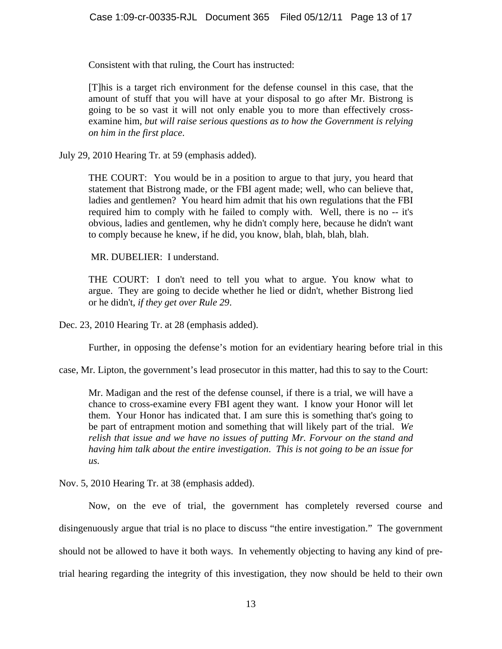Consistent with that ruling, the Court has instructed:

[T]his is a target rich environment for the defense counsel in this case, that the amount of stuff that you will have at your disposal to go after Mr. Bistrong is going to be so vast it will not only enable you to more than effectively crossexamine him*, but will raise serious questions as to how the Government is relying on him in the first place*.

July 29, 2010 Hearing Tr. at 59 (emphasis added).

THE COURT: You would be in a position to argue to that jury, you heard that statement that Bistrong made, or the FBI agent made; well, who can believe that, ladies and gentlemen? You heard him admit that his own regulations that the FBI required him to comply with he failed to comply with. Well, there is no -- it's obvious, ladies and gentlemen, why he didn't comply here, because he didn't want to comply because he knew, if he did, you know, blah, blah, blah, blah.

MR. DUBELIER: I understand.

THE COURT: I don't need to tell you what to argue. You know what to argue. They are going to decide whether he lied or didn't, whether Bistrong lied or he didn't, *if they get over Rule 29*.

Dec. 23, 2010 Hearing Tr. at 28 (emphasis added).

Further, in opposing the defense's motion for an evidentiary hearing before trial in this

case, Mr. Lipton, the government's lead prosecutor in this matter, had this to say to the Court:

Mr. Madigan and the rest of the defense counsel, if there is a trial, we will have a chance to cross-examine every FBI agent they want. I know your Honor will let them. Your Honor has indicated that. I am sure this is something that's going to be part of entrapment motion and something that will likely part of the trial. *We relish that issue and we have no issues of putting Mr. Forvour on the stand and having him talk about the entire investigation*. *This is not going to be an issue for us.* 

Nov. 5, 2010 Hearing Tr. at 38 (emphasis added).

Now, on the eve of trial, the government has completely reversed course and disingenuously argue that trial is no place to discuss "the entire investigation." The government should not be allowed to have it both ways. In vehemently objecting to having any kind of pretrial hearing regarding the integrity of this investigation, they now should be held to their own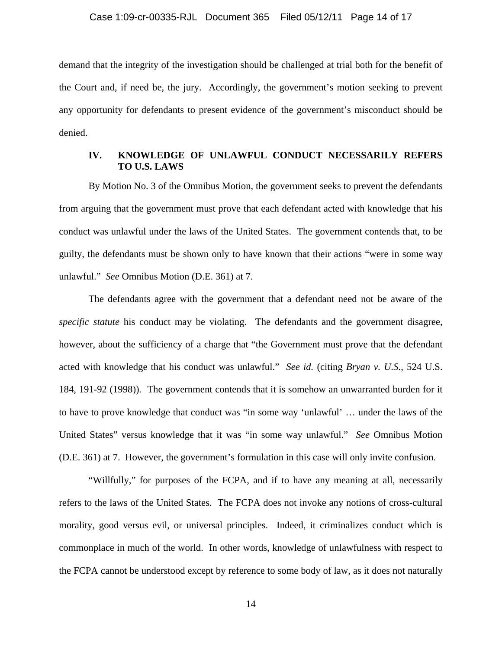demand that the integrity of the investigation should be challenged at trial both for the benefit of the Court and, if need be, the jury. Accordingly, the government's motion seeking to prevent any opportunity for defendants to present evidence of the government's misconduct should be denied.

## **IV. KNOWLEDGE OF UNLAWFUL CONDUCT NECESSARILY REFERS TO U.S. LAWS**

 By Motion No. 3 of the Omnibus Motion, the government seeks to prevent the defendants from arguing that the government must prove that each defendant acted with knowledge that his conduct was unlawful under the laws of the United States. The government contends that, to be guilty, the defendants must be shown only to have known that their actions "were in some way unlawful." *See* Omnibus Motion (D.E. 361) at 7.

The defendants agree with the government that a defendant need not be aware of the *specific statute* his conduct may be violating. The defendants and the government disagree, however, about the sufficiency of a charge that "the Government must prove that the defendant acted with knowledge that his conduct was unlawful." *See id.* (citing *Bryan v. U.S.*, 524 U.S. 184, 191-92 (1998))*.* The government contends that it is somehow an unwarranted burden for it to have to prove knowledge that conduct was "in some way 'unlawful' … under the laws of the United States" versus knowledge that it was "in some way unlawful." *See* Omnibus Motion (D.E. 361) at 7. However, the government's formulation in this case will only invite confusion.

"Willfully," for purposes of the FCPA, and if to have any meaning at all, necessarily refers to the laws of the United States. The FCPA does not invoke any notions of cross-cultural morality, good versus evil, or universal principles. Indeed, it criminalizes conduct which is commonplace in much of the world. In other words, knowledge of unlawfulness with respect to the FCPA cannot be understood except by reference to some body of law, as it does not naturally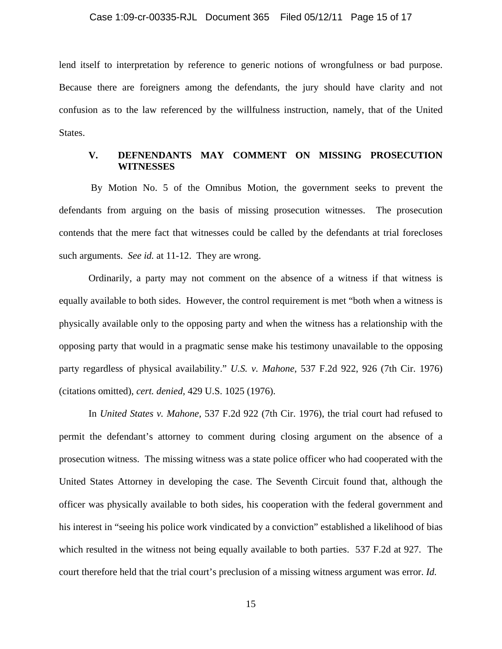lend itself to interpretation by reference to generic notions of wrongfulness or bad purpose. Because there are foreigners among the defendants, the jury should have clarity and not confusion as to the law referenced by the willfulness instruction, namely, that of the United States.

## **V. DEFNENDANTS MAY COMMENT ON MISSING PROSECUTION WITNESSES**

 By Motion No. 5 of the Omnibus Motion, the government seeks to prevent the defendants from arguing on the basis of missing prosecution witnesses. The prosecution contends that the mere fact that witnesses could be called by the defendants at trial forecloses such arguments. *See id.* at 11-12. They are wrong.

Ordinarily, a party may not comment on the absence of a witness if that witness is equally available to both sides. However, the control requirement is met "both when a witness is physically available only to the opposing party and when the witness has a relationship with the opposing party that would in a pragmatic sense make his testimony unavailable to the opposing party regardless of physical availability." *U.S. v. Mahone*, 537 F.2d 922, 926 (7th Cir. 1976) (citations omitted), *cert. denied,* 429 U.S. 1025 (1976).

In *United States v. Mahone,* 537 F.2d 922 (7th Cir. 1976), the trial court had refused to permit the defendant's attorney to comment during closing argument on the absence of a prosecution witness. The missing witness was a state police officer who had cooperated with the United States Attorney in developing the case. The Seventh Circuit found that, although the officer was physically available to both sides, his cooperation with the federal government and his interest in "seeing his police work vindicated by a conviction" established a likelihood of bias which resulted in the witness not being equally available to both parties. 537 F.2d at 927. The court therefore held that the trial court's preclusion of a missing witness argument was error. *Id.*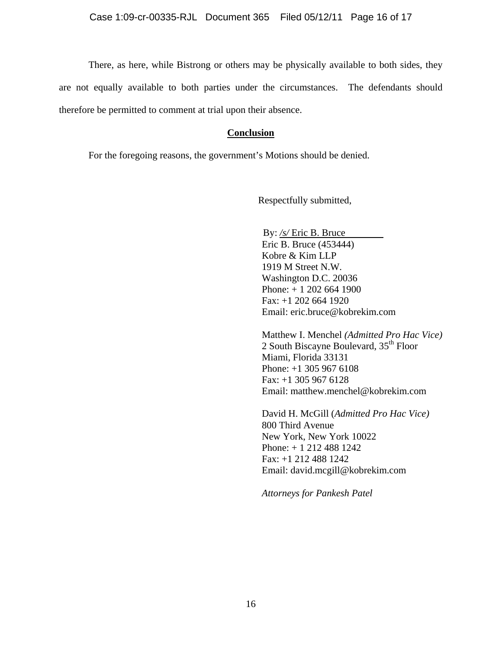There, as here, while Bistrong or others may be physically available to both sides, they are not equally available to both parties under the circumstances. The defendants should therefore be permitted to comment at trial upon their absence.

## **Conclusion**

For the foregoing reasons, the government's Motions should be denied.

Respectfully submitted,

 By: */s/* Eric B. Bruce Eric B. Bruce (453444) Kobre & Kim LLP 1919 M Street N.W. Washington D.C. 20036 Phone: + 1 202 664 1900 Fax: +1 202 664 1920 Email: eric.bruce@kobrekim.com

 Matthew I. Menchel *(Admitted Pro Hac Vice)* 2 South Biscayne Boulevard,  $35<sup>th</sup>$  Floor Miami, Florida 33131 Phone: +1 305 967 6108 Fax: +1 305 967 6128 Email: matthew.menchel@kobrekim.com

 David H. McGill (*Admitted Pro Hac Vice)*  800 Third Avenue New York, New York 10022 Phone: + 1 212 488 1242 Fax: +1 212 488 1242 Email: david.mcgill@kobrekim.com

 *Attorneys for Pankesh Patel*